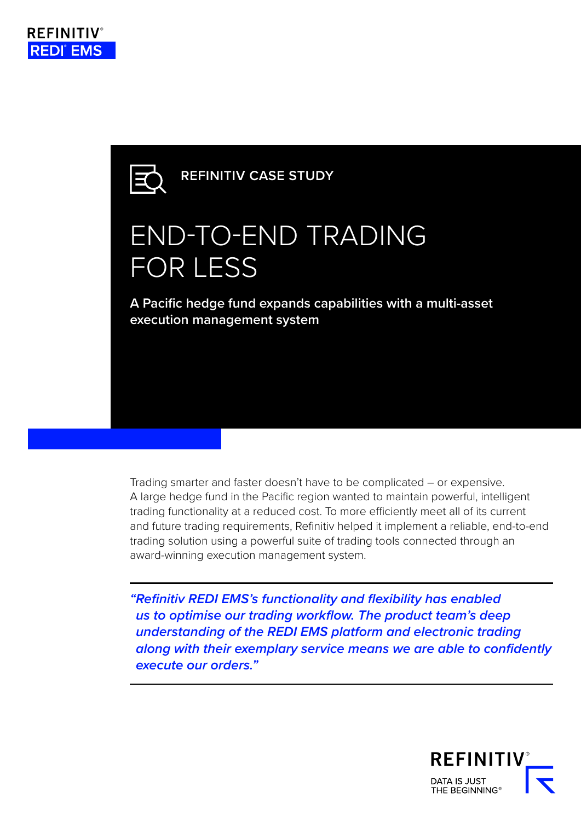

**REFINITIV CASE STUDY**

# END-TO-END TRADING FOR LESS

**A Pacific hedge fund expands capabilities with a multi-asset execution management system** 

Trading smarter and faster doesn't have to be complicated – or expensive. A large hedge fund in the Pacific region wanted to maintain powerful, intelligent trading functionality at a reduced cost. To more efficiently meet all of its current and future trading requirements, Refinitiv helped it implement a reliable, end-to-end trading solution using a powerful suite of trading tools connected through an award-winning execution management system.

*"Refinitiv REDI EMS's functionality and flexibility has enabled us to optimise our trading workflow. The product team's deep understanding of the REDI EMS platform and electronic trading along with their exemplary service means we are able to confidently execute our orders."*